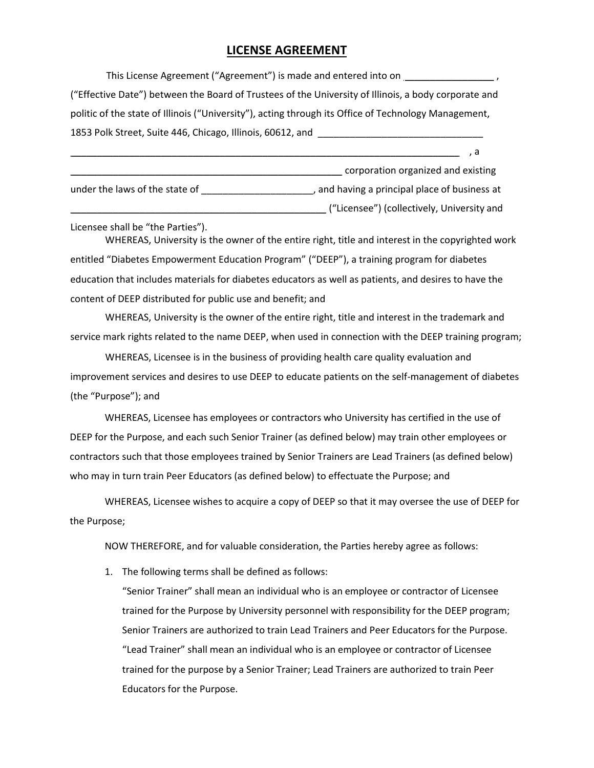## **LICENSE AGREEMENT**

This License Agreement ("Agreement") is made and entered into on  $\frac{1}{\sqrt{1-\frac{1}{n}}}\frac{1}{\sqrt{1-\frac{1}{n}}}\frac{1}{\sqrt{1-\frac{1}{n}}}\frac{1}{\sqrt{1-\frac{1}{n}}}\frac{1}{\sqrt{1-\frac{1}{n}}}\frac{1}{\sqrt{1-\frac{1}{n}}}\frac{1}{\sqrt{1-\frac{1}{n}}}\frac{1}{\sqrt{1-\frac{1}{n}}}\frac{1}{\sqrt{1-\frac{1}{n}}}\frac{1}{\sqrt{1-\frac{$ ("Effective Date") between the Board of Trustees of the University of Illinois, a body corporate and politic of the state of Illinois ("University"), acting through its Office of Technology Management, 1853 Polk Street, Suite 446, Chicago, Illinois, 60612, and \_\_\_\_\_\_\_\_\_\_\_\_\_\_\_\_\_\_\_\_\_

\_\_\_\_\_\_\_\_\_\_\_\_\_\_\_\_\_\_\_\_\_\_\_\_\_\_\_\_\_\_\_\_\_\_\_\_\_\_\_\_\_\_\_\_\_\_\_\_\_\_\_ corporation organized and existing under the laws of the state of \_\_\_\_\_\_\_\_\_\_\_\_\_\_\_\_\_\_\_\_\_\_\_, and having a principal place of business at \_\_\_\_\_\_\_\_\_\_\_\_\_\_\_\_\_\_\_\_\_\_\_\_\_\_\_\_\_\_\_\_\_\_\_\_\_\_\_\_\_\_\_\_\_\_\_\_ ("Licensee") (collectively, University and

\_\_\_\_\_\_\_\_\_\_\_\_\_\_\_\_\_\_\_\_\_\_\_\_\_\_\_\_\_\_\_\_\_\_\_\_\_\_\_\_\_\_\_\_\_\_\_\_\_\_\_\_\_\_\_\_\_\_\_\_\_\_\_\_\_\_\_\_\_\_\_\_\_ , a

Licensee shall be "the Parties").

WHEREAS, University is the owner of the entire right, title and interest in the copyrighted work entitled "Diabetes Empowerment Education Program" ("DEEP"), a training program for diabetes education that includes materials for diabetes educators as well as patients, and desires to have the content of DEEP distributed for public use and benefit; and

WHEREAS, University is the owner of the entire right, title and interest in the trademark and service mark rights related to the name DEEP, when used in connection with the DEEP training program;

WHEREAS, Licensee is in the business of providing health care quality evaluation and improvement services and desires to use DEEP to educate patients on the self-management of diabetes (the "Purpose"); and

WHEREAS, Licensee has employees or contractors who University has certified in the use of DEEP for the Purpose, and each such Senior Trainer (as defined below) may train other employees or contractors such that those employees trained by Senior Trainers are Lead Trainers (as defined below) who may in turn train Peer Educators (as defined below) to effectuate the Purpose; and

WHEREAS, Licensee wishes to acquire a copy of DEEP so that it may oversee the use of DEEP for the Purpose;

NOW THEREFORE, and for valuable consideration, the Parties hereby agree as follows:

1. The following terms shall be defined as follows:

"Senior Trainer" shall mean an individual who is an employee or contractor of Licensee trained for the Purpose by University personnel with responsibility for the DEEP program; Senior Trainers are authorized to train Lead Trainers and Peer Educators for the Purpose. "Lead Trainer" shall mean an individual who is an employee or contractor of Licensee trained for the purpose by a Senior Trainer; Lead Trainers are authorized to train Peer Educators for the Purpose.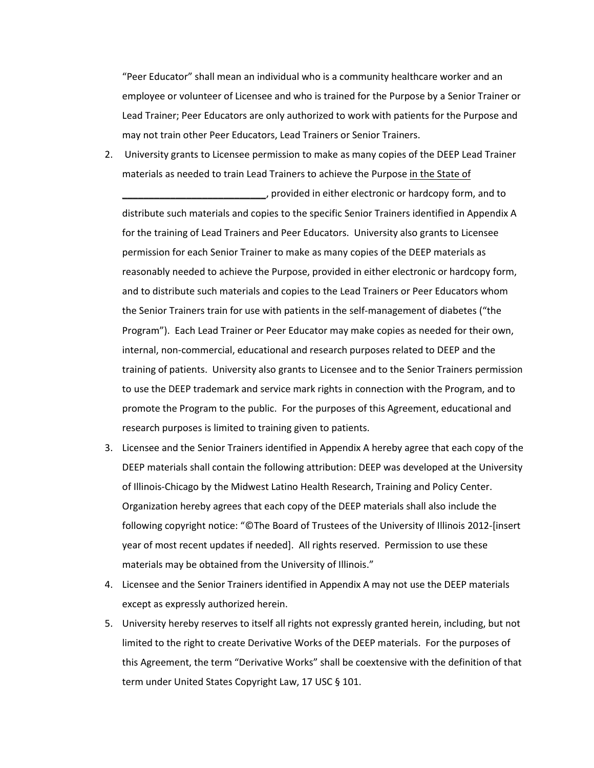"Peer Educator" shall mean an individual who is a community healthcare worker and an employee or volunteer of Licensee and who is trained for the Purpose by a Senior Trainer or Lead Trainer; Peer Educators are only authorized to work with patients for the Purpose and may not train other Peer Educators, Lead Trainers or Senior Trainers.

2. University grants to Licensee permission to make as many copies of the DEEP Lead Trainer materials as needed to train Lead Trainers to achieve the Purpose in the State of

\_\_\_\_\_\_\_\_\_\_\_\_\_\_\_\_\_\_\_\_\_\_\_\_\_\_\_, provided in either electronic or hardcopy form, and to distribute such materials and copies to the specific Senior Trainers identified in Appendix A for the training of Lead Trainers and Peer Educators. University also grants to Licensee permission for each Senior Trainer to make as many copies of the DEEP materials as reasonably needed to achieve the Purpose, provided in either electronic or hardcopy form, and to distribute such materials and copies to the Lead Trainers or Peer Educators whom the Senior Trainers train for use with patients in the self-management of diabetes ("the Program"). Each Lead Trainer or Peer Educator may make copies as needed for their own, internal, non-commercial, educational and research purposes related to DEEP and the training of patients. University also grants to Licensee and to the Senior Trainers permission to use the DEEP trademark and service mark rights in connection with the Program, and to promote the Program to the public. For the purposes of this Agreement, educational and research purposes is limited to training given to patients.

- 3. Licensee and the Senior Trainers identified in Appendix A hereby agree that each copy of the DEEP materials shall contain the following attribution: DEEP was developed at the University of Illinois-Chicago by the Midwest Latino Health Research, Training and Policy Center. Organization hereby agrees that each copy of the DEEP materials shall also include the following copyright notice: "©The Board of Trustees of the University of Illinois 2012-[insert year of most recent updates if needed]. All rights reserved. Permission to use these materials may be obtained from the University of Illinois."
- 4. Licensee and the Senior Trainers identified in Appendix A may not use the DEEP materials except as expressly authorized herein.
- 5. University hereby reserves to itself all rights not expressly granted herein, including, but not limited to the right to create Derivative Works of the DEEP materials. For the purposes of this Agreement, the term "Derivative Works" shall be coextensive with the definition of that term under United States Copyright Law, 17 USC § 101.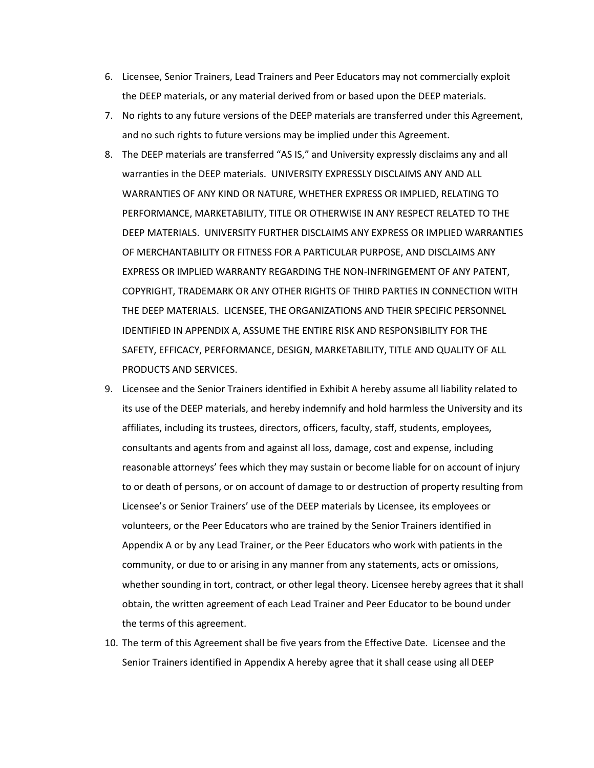- 6. Licensee, Senior Trainers, Lead Trainers and Peer Educators may not commercially exploit the DEEP materials, or any material derived from or based upon the DEEP materials.
- 7. No rights to any future versions of the DEEP materials are transferred under this Agreement, and no such rights to future versions may be implied under this Agreement.
- 8. The DEEP materials are transferred "AS IS," and University expressly disclaims any and all warranties in the DEEP materials. UNIVERSITY EXPRESSLY DISCLAIMS ANY AND ALL WARRANTIES OF ANY KIND OR NATURE, WHETHER EXPRESS OR IMPLIED, RELATING TO PERFORMANCE, MARKETABILITY, TITLE OR OTHERWISE IN ANY RESPECT RELATED TO THE DEEP MATERIALS. UNIVERSITY FURTHER DISCLAIMS ANY EXPRESS OR IMPLIED WARRANTIES OF MERCHANTABILITY OR FITNESS FOR A PARTICULAR PURPOSE, AND DISCLAIMS ANY EXPRESS OR IMPLIED WARRANTY REGARDING THE NON-INFRINGEMENT OF ANY PATENT, COPYRIGHT, TRADEMARK OR ANY OTHER RIGHTS OF THIRD PARTIES IN CONNECTION WITH THE DEEP MATERIALS. LICENSEE, THE ORGANIZATIONS AND THEIR SPECIFIC PERSONNEL IDENTIFIED IN APPENDIX A, ASSUME THE ENTIRE RISK AND RESPONSIBILITY FOR THE SAFETY, EFFICACY, PERFORMANCE, DESIGN, MARKETABILITY, TITLE AND QUALITY OF ALL PRODUCTS AND SERVICES.
- 9. Licensee and the Senior Trainers identified in Exhibit A hereby assume all liability related to its use of the DEEP materials, and hereby indemnify and hold harmless the University and its affiliates, including its trustees, directors, officers, faculty, staff, students, employees, consultants and agents from and against all loss, damage, cost and expense, including reasonable attorneys' fees which they may sustain or become liable for on account of injury to or death of persons, or on account of damage to or destruction of property resulting from Licensee's or Senior Trainers' use of the DEEP materials by Licensee, its employees or volunteers, or the Peer Educators who are trained by the Senior Trainers identified in Appendix A or by any Lead Trainer, or the Peer Educators who work with patients in the community, or due to or arising in any manner from any statements, acts or omissions, whether sounding in tort, contract, or other legal theory. Licensee hereby agrees that it shall obtain, the written agreement of each Lead Trainer and Peer Educator to be bound under the terms of this agreement.
- 10. The term of this Agreement shall be five years from the Effective Date. Licensee and the Senior Trainers identified in Appendix A hereby agree that it shall cease using all DEEP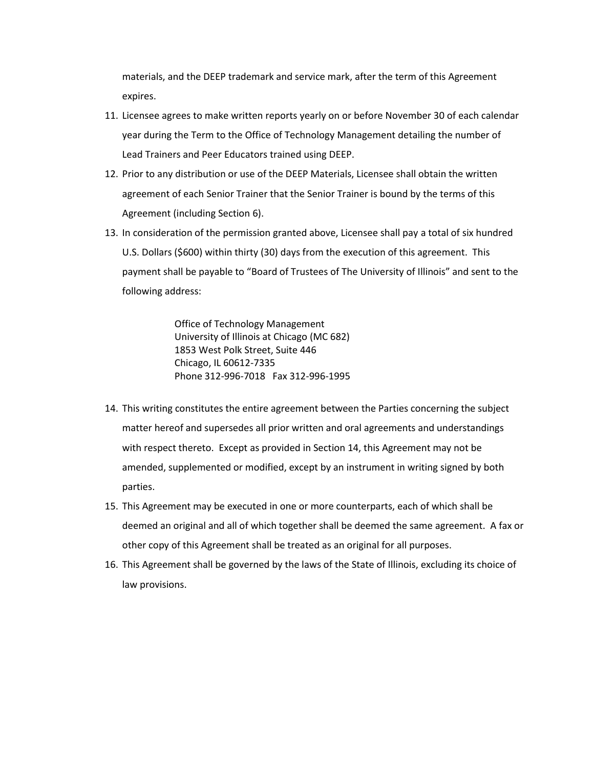materials, and the DEEP trademark and service mark, after the term of this Agreement expires.

- 11. Licensee agrees to make written reports yearly on or before November 30 of each calendar year during the Term to the Office of Technology Management detailing the number of Lead Trainers and Peer Educators trained using DEEP.
- 12. Prior to any distribution or use of the DEEP Materials, Licensee shall obtain the written agreement of each Senior Trainer that the Senior Trainer is bound by the terms of this Agreement (including Section 6).
- 13. In consideration of the permission granted above, Licensee shall pay a total of six hundred U.S. Dollars (\$600) within thirty (30) days from the execution of this agreement. This payment shall be payable to "Board of Trustees of The University of Illinois" and sent to the following address:

Office of Technology Management University of Illinois at Chicago (MC 682) 1853 West Polk Street, Suite 446 Chicago, IL 60612-7335 Phone 312-996-7018 Fax 312-996-1995

- 14. This writing constitutes the entire agreement between the Parties concerning the subject matter hereof and supersedes all prior written and oral agreements and understandings with respect thereto. Except as provided in Section 14, this Agreement may not be amended, supplemented or modified, except by an instrument in writing signed by both parties.
- 15. This Agreement may be executed in one or more counterparts, each of which shall be deemed an original and all of which together shall be deemed the same agreement. A fax or other copy of this Agreement shall be treated as an original for all purposes.
- 16. This Agreement shall be governed by the laws of the State of Illinois, excluding its choice of law provisions.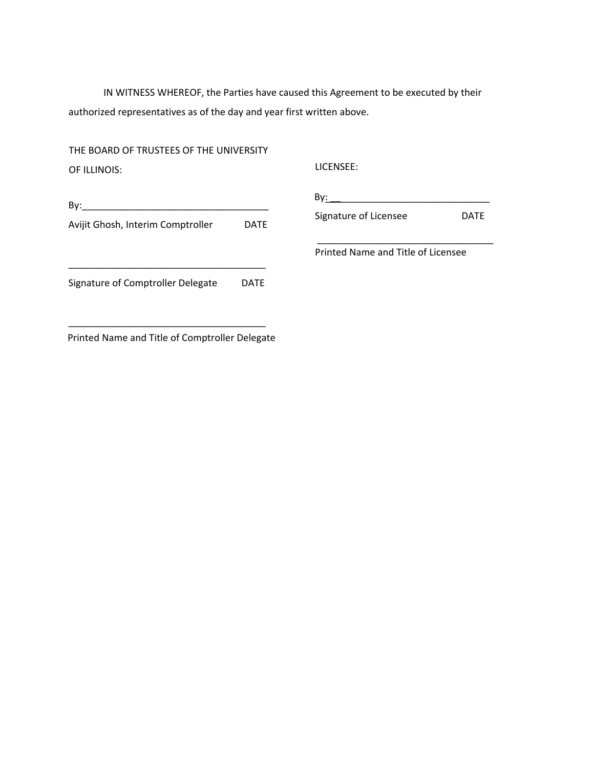IN WITNESS WHEREOF, the Parties have caused this Agreement to be executed by their authorized representatives as of the day and year first written above.

THE BOARD OF TRUSTEES OF THE UNIVERSITY OF ILLINOIS: LICENSEE:

|             | Bv:                                |             |
|-------------|------------------------------------|-------------|
| <b>DATE</b> | Signature of Licensee              | <b>DATE</b> |
|             | Printed Name and Title of Licensee |             |
| <b>DATE</b> |                                    |             |
|             |                                    |             |

\_\_\_\_\_\_\_\_\_\_\_\_\_\_\_\_\_\_\_\_\_\_\_\_\_\_\_\_\_\_\_\_\_\_\_\_\_ Printed Name and Title of Comptroller Delegate